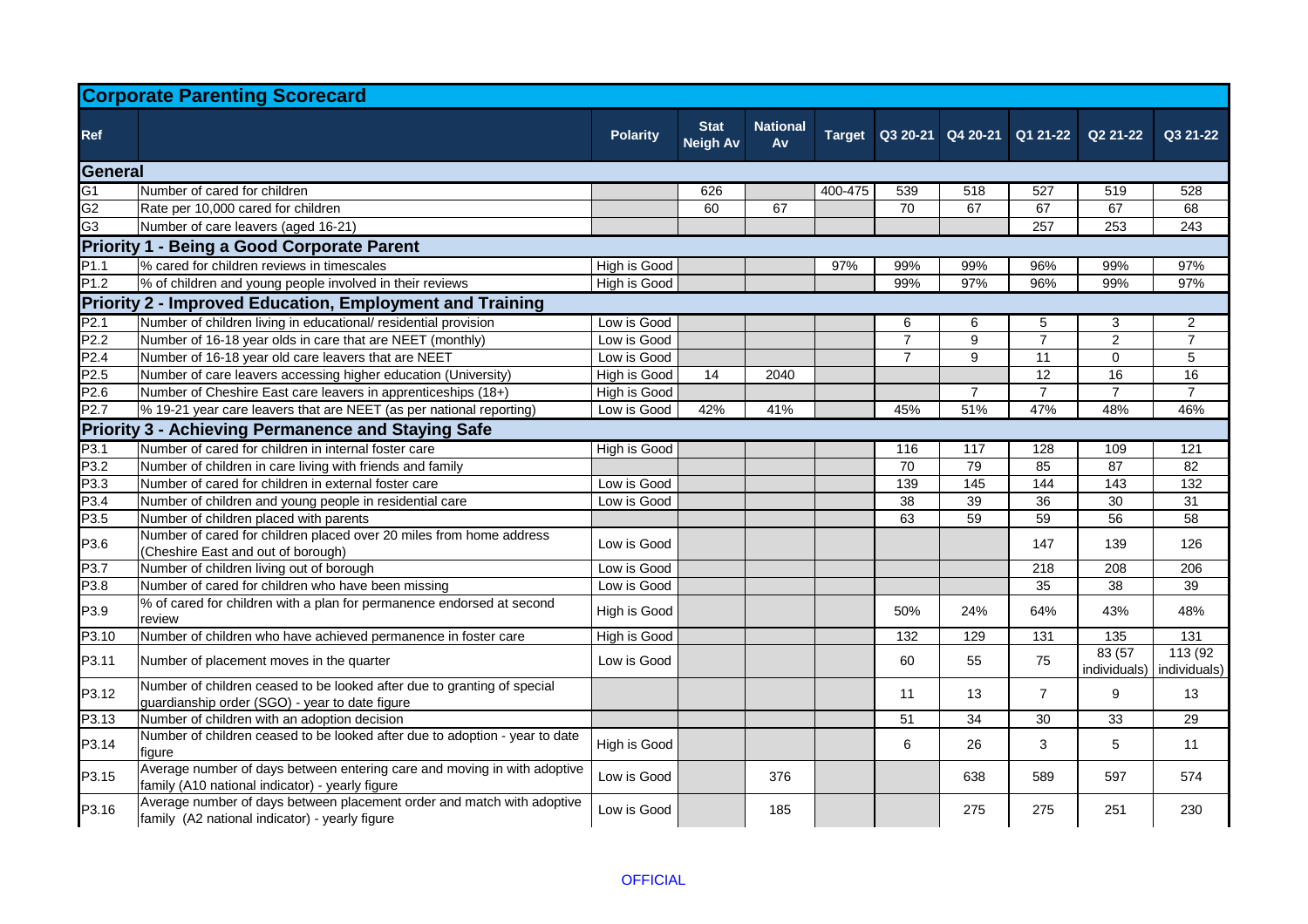| <b>Corporate Parenting Scorecard</b>                            |                                                                                                                             |                 |                                |                              |         |                |                |                            |                        |                          |  |
|-----------------------------------------------------------------|-----------------------------------------------------------------------------------------------------------------------------|-----------------|--------------------------------|------------------------------|---------|----------------|----------------|----------------------------|------------------------|--------------------------|--|
| <b>Ref</b>                                                      |                                                                                                                             | <b>Polarity</b> | <b>Stat</b><br><b>Neigh Av</b> | <b>National</b><br><b>Av</b> | Target  |                |                | Q3 20-21 Q4 20-21 Q1 21-22 | Q2 21-22               | Q3 21-22                 |  |
| General                                                         |                                                                                                                             |                 |                                |                              |         |                |                |                            |                        |                          |  |
| G <sub>1</sub>                                                  | Number of cared for children                                                                                                |                 | 626                            |                              | 400-475 | 539            | 518            | 527                        | 519                    | 528                      |  |
| G <sub>2</sub>                                                  | Rate per 10,000 cared for children                                                                                          |                 | 60                             | 67                           |         | 70             | 67             | 67                         | 67                     | 68                       |  |
| G <sub>3</sub>                                                  | Number of care leavers (aged 16-21)                                                                                         |                 |                                |                              |         |                |                | 257                        | 253                    | 243                      |  |
|                                                                 | <b>Priority 1 - Being a Good Corporate Parent</b>                                                                           |                 |                                |                              |         |                |                |                            |                        |                          |  |
| P <sub>1.1</sub>                                                | % cared for children reviews in timescales                                                                                  | High is Good    |                                |                              | 97%     | 99%            | 99%            | 96%                        | 99%                    | 97%                      |  |
| P <sub>1.2</sub>                                                | % of children and young people involved in their reviews                                                                    | High is Good    |                                |                              |         | 99%            | 97%            | 96%                        | 99%                    | 97%                      |  |
| <b>Priority 2 - Improved Education, Employment and Training</b> |                                                                                                                             |                 |                                |                              |         |                |                |                            |                        |                          |  |
| P <sub>2.1</sub>                                                | Number of children living in educational/ residential provision                                                             | Low is Good     |                                |                              |         | 6              | 6              | 5                          | 3                      | $\overline{2}$           |  |
| P <sub>2.2</sub>                                                | Number of 16-18 year olds in care that are NEET (monthly)                                                                   | Low is Good     |                                |                              |         | $\overline{7}$ | 9              | $\overline{7}$             | $\overline{2}$         | $\overline{7}$           |  |
| P2.4                                                            | Number of 16-18 year old care leavers that are NEET                                                                         | Low is Good     |                                |                              |         |                | 9              | 11                         | $\mathbf 0$            | 5                        |  |
| P <sub>2.5</sub>                                                | Number of care leavers accessing higher education (University)                                                              | High is Good    | 14                             | 2040                         |         |                |                | 12                         | 16                     | 16                       |  |
| P2.6                                                            | Number of Cheshire East care leavers in apprenticeships (18+)                                                               | High is Good    |                                |                              |         |                | $\overline{7}$ | $\overline{7}$             | $\overline{7}$         | $\overline{7}$           |  |
| P <sub>2.7</sub>                                                | % 19-21 year care leavers that are NEET (as per national reporting)                                                         | Low is Good     | 42%                            | 41%                          |         | 45%            | 51%            | 47%                        | 48%                    | 46%                      |  |
|                                                                 | <b>Priority 3 - Achieving Permanence and Staying Safe</b>                                                                   |                 |                                |                              |         |                |                |                            |                        |                          |  |
| P3.1                                                            | Number of cared for children in internal foster care                                                                        | High is Good    |                                |                              |         | 116            | 117            | 128                        | 109                    | 121                      |  |
| P3.2                                                            | Number of children in care living with friends and family                                                                   |                 |                                |                              |         | 70             | 79             | 85                         | 87                     | 82                       |  |
| P3.3                                                            | Number of cared for children in external foster care                                                                        | Low is Good     |                                |                              |         | 139            | 145            | 144                        | 143                    | 132                      |  |
| P3.4                                                            | Number of children and young people in residential care                                                                     | Low is Good     |                                |                              |         | 38             | 39             | 36                         | 30                     | 31                       |  |
| P3.5                                                            | Number of children placed with parents                                                                                      |                 |                                |                              |         | 63             | 59             | 59                         | 56                     | 58                       |  |
| P3.6                                                            | Number of cared for children placed over 20 miles from home address<br>(Cheshire East and out of borough)                   | Low is Good     |                                |                              |         |                |                | 147                        | 139                    | 126                      |  |
| P3.7                                                            | Number of children living out of borough                                                                                    | Low is Good     |                                |                              |         |                |                | 218                        | 208                    | 206                      |  |
| P3.8                                                            | Number of cared for children who have been missing                                                                          | Low is Good     |                                |                              |         |                |                | 35                         | 38                     | 39                       |  |
| P3.9                                                            | % of cared for children with a plan for permanence endorsed at second<br>review                                             | High is Good    |                                |                              |         | 50%            | 24%            | 64%                        | 43%                    | 48%                      |  |
| P3.10                                                           | Number of children who have achieved permanence in foster care                                                              | High is Good    |                                |                              |         | 132            | 129            | 131                        | 135                    | 131                      |  |
| P3.11                                                           | Number of placement moves in the quarter                                                                                    | Low is Good     |                                |                              |         | 60             | 55             | 75                         | 83 (57<br>individuals) | 113 (92)<br>individuals) |  |
| P3.12                                                           | Number of children ceased to be looked after due to granting of special<br>guardianship order (SGO) - year to date figure   |                 |                                |                              |         | 11             | 13             | $\overline{7}$             | 9                      | 13                       |  |
| P3.13                                                           | Number of children with an adoption decision                                                                                |                 |                                |                              |         | 51             | 34             | 30                         | 33                     | 29                       |  |
| P3.14                                                           | Number of children ceased to be looked after due to adoption - year to date<br><b>I</b> tigure                              | High is Good    |                                |                              |         | 6              | 26             | 3                          | 5                      | 11                       |  |
| P3.15                                                           | Average number of days between entering care and moving in with adoptive<br>family (A10 national indicator) - yearly figure | Low is Good     |                                | 376                          |         |                | 638            | 589                        | 597                    | 574                      |  |
| P3.16                                                           | Average number of days between placement order and match with adoptive<br>family (A2 national indicator) - yearly figure    | Low is Good     |                                | 185                          |         |                | 275            | 275                        | 251                    | 230                      |  |